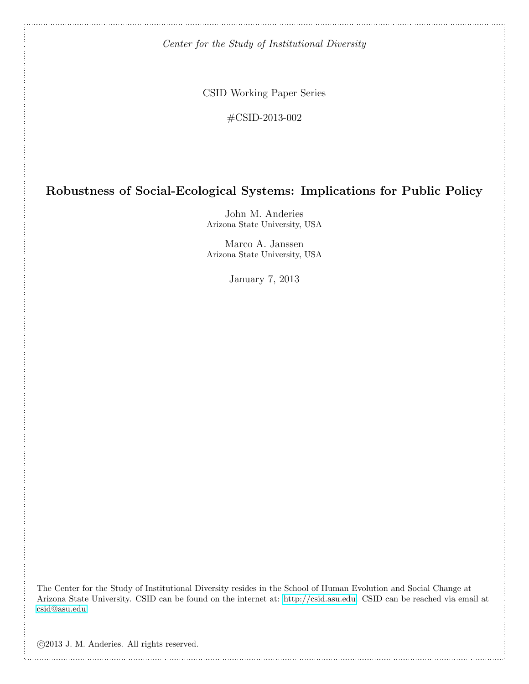Center for the Study of Institutional Diversity

CSID Working Paper Series

#CSID-2013-002

# Robustness of Social-Ecological Systems: Implications for Public Policy

John M. Anderies Arizona State University, USA

Marco A. Janssen Arizona State University, USA

January 7, 2013

The Center for the Study of Institutional Diversity resides in the School of Human Evolution and Social Change at Arizona State University. CSID can be found on the internet at: [http://csid.asu.edu.](http://csid.asu.edu) CSID can be reached via email at [csid@asu.edu.](mailto:csid@asu.edu)

c 2013 J. M. Anderies. All rights reserved.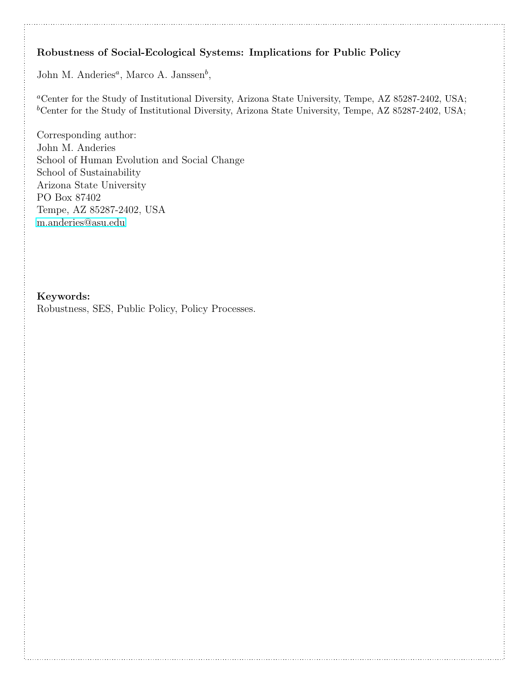# Robustness of Social-Ecological Systems: Implications for Public Policy

John M. Anderies<sup>*a*</sup>, Marco A. Janssen<sup>*b*</sup>,

<sup>a</sup>Center for the Study of Institutional Diversity, Arizona State University, Tempe, AZ 85287-2402, USA;  ${}^b$ Center for the Study of Institutional Diversity, Arizona State University, Tempe, AZ 85287-2402, USA;

Corresponding author: John M. Anderies School of Human Evolution and Social Change School of Sustainability Arizona State University PO Box 87402 Tempe, AZ 85287-2402, USA [m.anderies@asu.edu](mailto:m.anderies@asu.edu)

# Keywords:

Robustness, SES, Public Policy, Policy Processes.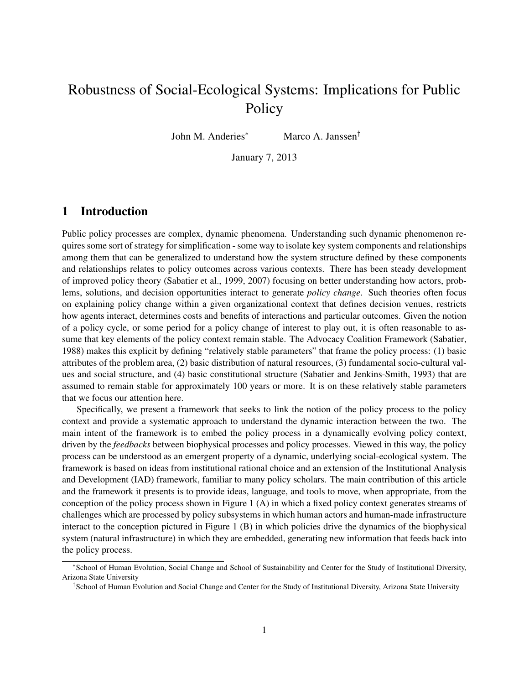# Robustness of Social-Ecological Systems: Implications for Public **Policy**

John M. Anderies<sup>∗</sup> Marco A. Janssen†

January 7, 2013

## 1 Introduction

Public policy processes are complex, dynamic phenomena. Understanding such dynamic phenomenon requires some sort of strategy for simplification - some way to isolate key system components and relationships among them that can be generalized to understand how the system structure defined by these components and relationships relates to policy outcomes across various contexts. There has been steady development of improved policy theory (Sabatier et al., 1999, 2007) focusing on better understanding how actors, problems, solutions, and decision opportunities interact to generate *policy change*. Such theories often focus on explaining policy change within a given organizational context that defines decision venues, restricts how agents interact, determines costs and benefits of interactions and particular outcomes. Given the notion of a policy cycle, or some period for a policy change of interest to play out, it is often reasonable to assume that key elements of the policy context remain stable. The Advocacy Coalition Framework (Sabatier, 1988) makes this explicit by defining "relatively stable parameters" that frame the policy process: (1) basic attributes of the problem area, (2) basic distribution of natural resources, (3) fundamental socio-cultural values and social structure, and (4) basic constitutional structure (Sabatier and Jenkins-Smith, 1993) that are assumed to remain stable for approximately 100 years or more. It is on these relatively stable parameters that we focus our attention here.

Specifically, we present a framework that seeks to link the notion of the policy process to the policy context and provide a systematic approach to understand the dynamic interaction between the two. The main intent of the framework is to embed the policy process in a dynamically evolving policy context, driven by the *feedbacks* between biophysical processes and policy processes. Viewed in this way, the policy process can be understood as an emergent property of a dynamic, underlying social-ecological system. The framework is based on ideas from institutional rational choice and an extension of the Institutional Analysis and Development (IAD) framework, familiar to many policy scholars. The main contribution of this article and the framework it presents is to provide ideas, language, and tools to move, when appropriate, from the conception of the policy process shown in Figure 1 (A) in which a fixed policy context generates streams of challenges which are processed by policy subsystems in which human actors and human-made infrastructure interact to the conception pictured in Figure 1 (B) in which policies drive the dynamics of the biophysical system (natural infrastructure) in which they are embedded, generating new information that feeds back into the policy process.

<sup>∗</sup> School of Human Evolution, Social Change and School of Sustainability and Center for the Study of Institutional Diversity, Arizona State University

<sup>†</sup> School of Human Evolution and Social Change and Center for the Study of Institutional Diversity, Arizona State University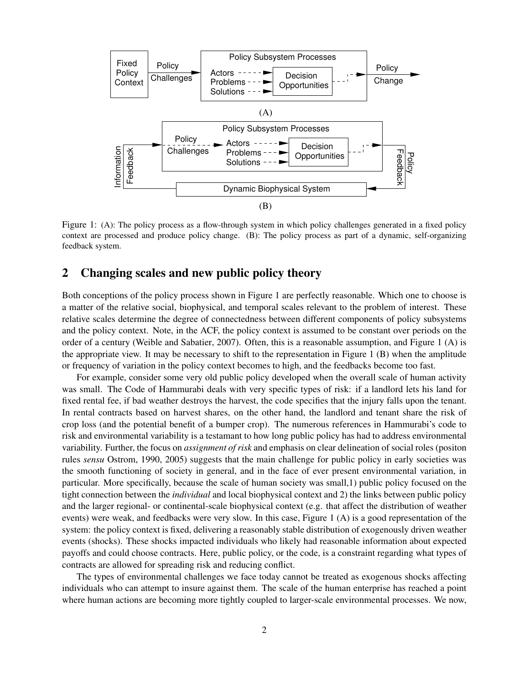

Figure 1: (A): The policy process as a flow-through system in which policy challenges generated in a fixed policy context are processed and produce policy change. (B): The policy process as part of a dynamic, self-organizing feedback system.

#### 2 Changing scales and new public policy theory

Both conceptions of the policy process shown in Figure 1 are perfectly reasonable. Which one to choose is a matter of the relative social, biophysical, and temporal scales relevant to the problem of interest. These relative scales determine the degree of connectedness between different components of policy subsystems and the policy context. Note, in the ACF, the policy context is assumed to be constant over periods on the order of a century (Weible and Sabatier, 2007). Often, this is a reasonable assumption, and Figure 1 (A) is the appropriate view. It may be necessary to shift to the representation in Figure 1 (B) when the amplitude or frequency of variation in the policy context becomes to high, and the feedbacks become too fast.

For example, consider some very old public policy developed when the overall scale of human activity was small. The Code of Hammurabi deals with very specific types of risk: if a landlord lets his land for fixed rental fee, if bad weather destroys the harvest, the code specifies that the injury falls upon the tenant. In rental contracts based on harvest shares, on the other hand, the landlord and tenant share the risk of crop loss (and the potential benefit of a bumper crop). The numerous references in Hammurabi's code to risk and environmental variability is a testamant to how long public policy has had to address environmental variability. Further, the focus on *assignment of risk* and emphasis on clear delineation of social roles (positon rules *sensu* Ostrom, 1990, 2005) suggests that the main challenge for public policy in early societies was the smooth functioning of society in general, and in the face of ever present environmental variation, in particular. More specifically, because the scale of human society was small,1) public policy focused on the tight connection between the *individual* and local biophysical context and 2) the links between public policy and the larger regional- or continental-scale biophysical context (e.g. that affect the distribution of weather events) were weak, and feedbacks were very slow. In this case, Figure 1 (A) is a good representation of the system: the policy context is fixed, delivering a reasonably stable distribution of exogenously driven weather events (shocks). These shocks impacted individuals who likely had reasonable information about expected payoffs and could choose contracts. Here, public policy, or the code, is a constraint regarding what types of contracts are allowed for spreading risk and reducing conflict.

The types of environmental challenges we face today cannot be treated as exogenous shocks affecting individuals who can attempt to insure against them. The scale of the human enterprise has reached a point where human actions are becoming more tightly coupled to larger-scale environmental processes. We now,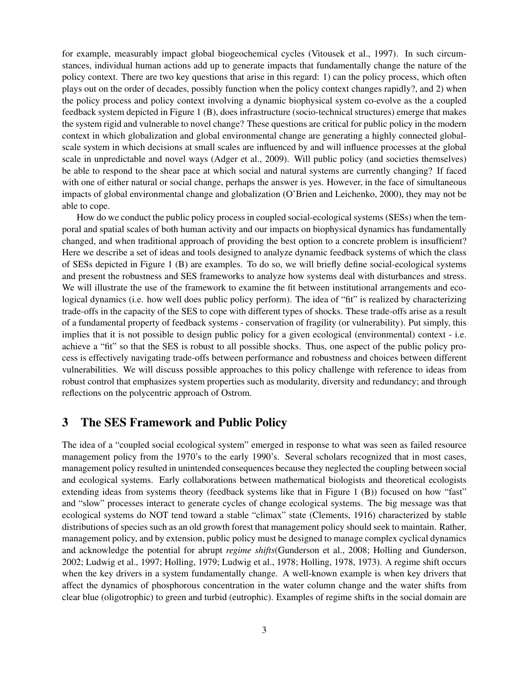for example, measurably impact global biogeochemical cycles (Vitousek et al., 1997). In such circumstances, individual human actions add up to generate impacts that fundamentally change the nature of the policy context. There are two key questions that arise in this regard: 1) can the policy process, which often plays out on the order of decades, possibly function when the policy context changes rapidly?, and 2) when the policy process and policy context involving a dynamic biophysical system co-evolve as the a coupled feedback system depicted in Figure 1 (B), does infrastructure (socio-technical structures) emerge that makes the system rigid and vulnerable to novel change? These questions are critical for public policy in the modern context in which globalization and global environmental change are generating a highly connected globalscale system in which decisions at small scales are influenced by and will influence processes at the global scale in unpredictable and novel ways (Adger et al., 2009). Will public policy (and societies themselves) be able to respond to the shear pace at which social and natural systems are currently changing? If faced with one of either natural or social change, perhaps the answer is yes. However, in the face of simultaneous impacts of global environmental change and globalization (O'Brien and Leichenko, 2000), they may not be able to cope.

How do we conduct the public policy process in coupled social-ecological systems (SESs) when the temporal and spatial scales of both human activity and our impacts on biophysical dynamics has fundamentally changed, and when traditional approach of providing the best option to a concrete problem is insufficient? Here we describe a set of ideas and tools designed to analyze dynamic feedback systems of which the class of SESs depicted in Figure 1 (B) are examples. To do so, we will briefly define social-ecological systems and present the robustness and SES frameworks to analyze how systems deal with disturbances and stress. We will illustrate the use of the framework to examine the fit between institutional arrangements and ecological dynamics (i.e. how well does public policy perform). The idea of "fit" is realized by characterizing trade-offs in the capacity of the SES to cope with different types of shocks. These trade-offs arise as a result of a fundamental property of feedback systems - conservation of fragility (or vulnerability). Put simply, this implies that it is not possible to design public policy for a given ecological (environmental) context - i.e. achieve a "fit" so that the SES is robust to all possible shocks. Thus, one aspect of the public policy process is effectively navigating trade-offs between performance and robustness and choices between different vulnerabilities. We will discuss possible approaches to this policy challenge with reference to ideas from robust control that emphasizes system properties such as modularity, diversity and redundancy; and through reflections on the polycentric approach of Ostrom.

## 3 The SES Framework and Public Policy

The idea of a "coupled social ecological system" emerged in response to what was seen as failed resource management policy from the 1970's to the early 1990's. Several scholars recognized that in most cases, management policy resulted in unintended consequences because they neglected the coupling between social and ecological systems. Early collaborations between mathematical biologists and theoretical ecologists extending ideas from systems theory (feedback systems like that in Figure 1 (B)) focused on how "fast" and "slow" processes interact to generate cycles of change ecological systems. The big message was that ecological systems do NOT tend toward a stable "climax" state (Clements, 1916) characterized by stable distributions of species such as an old growth forest that management policy should seek to maintain. Rather, management policy, and by extension, public policy must be designed to manage complex cyclical dynamics and acknowledge the potential for abrupt *regime shifts*(Gunderson et al., 2008; Holling and Gunderson, 2002; Ludwig et al., 1997; Holling, 1979; Ludwig et al., 1978; Holling, 1978, 1973). A regime shift occurs when the key drivers in a system fundamentally change. A well-known example is when key drivers that affect the dynamics of phosphorous concentration in the water column change and the water shifts from clear blue (oligotrophic) to green and turbid (eutrophic). Examples of regime shifts in the social domain are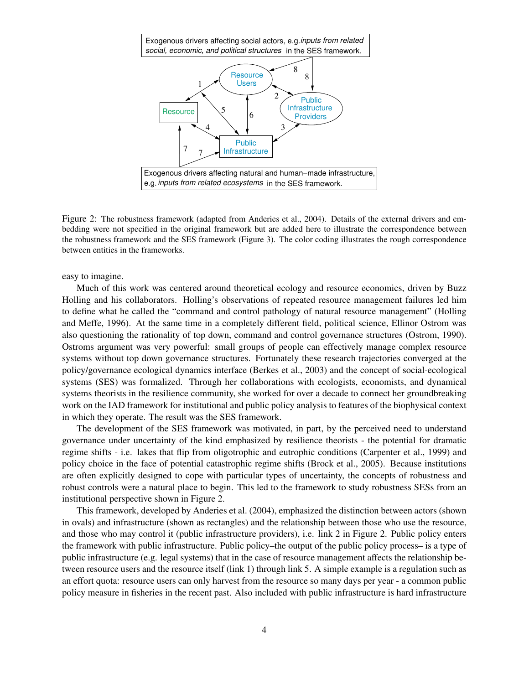

Figure 2: The robustness framework (adapted from Anderies et al., 2004). Details of the external drivers and embedding were not specified in the original framework but are added here to illustrate the correspondence between the robustness framework and the SES framework (Figure 3). The color coding illustrates the rough correspondence between entities in the frameworks.

easy to imagine.

Much of this work was centered around theoretical ecology and resource economics, driven by Buzz Holling and his collaborators. Holling's observations of repeated resource management failures led him to define what he called the "command and control pathology of natural resource management" (Holling and Meffe, 1996). At the same time in a completely different field, political science, Ellinor Ostrom was also questioning the rationality of top down, command and control governance structures (Ostrom, 1990). Ostroms argument was very powerful: small groups of people can effectively manage complex resource systems without top down governance structures. Fortunately these research trajectories converged at the policy/governance ecological dynamics interface (Berkes et al., 2003) and the concept of social-ecological systems (SES) was formalized. Through her collaborations with ecologists, economists, and dynamical systems theorists in the resilience community, she worked for over a decade to connect her groundbreaking work on the IAD framework for institutional and public policy analysis to features of the biophysical context in which they operate. The result was the SES framework.

The development of the SES framework was motivated, in part, by the perceived need to understand governance under uncertainty of the kind emphasized by resilience theorists - the potential for dramatic regime shifts - i.e. lakes that flip from oligotrophic and eutrophic conditions (Carpenter et al., 1999) and policy choice in the face of potential catastrophic regime shifts (Brock et al., 2005). Because institutions are often explicitly designed to cope with particular types of uncertainty, the concepts of robustness and robust controls were a natural place to begin. This led to the framework to study robustness SESs from an institutional perspective shown in Figure 2.

This framework, developed by Anderies et al. (2004), emphasized the distinction between actors (shown in ovals) and infrastructure (shown as rectangles) and the relationship between those who use the resource, and those who may control it (public infrastructure providers), i.e. link 2 in Figure 2. Public policy enters the framework with public infrastructure. Public policy–the output of the public policy process– is a type of public infrastructure (e.g. legal systems) that in the case of resource management affects the relationship between resource users and the resource itself (link 1) through link 5. A simple example is a regulation such as an effort quota: resource users can only harvest from the resource so many days per year - a common public policy measure in fisheries in the recent past. Also included with public infrastructure is hard infrastructure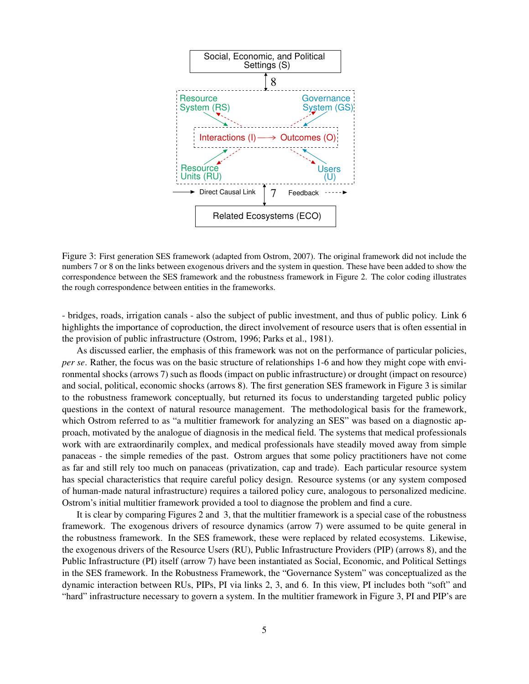

Figure 3: First generation SES framework (adapted from Ostrom, 2007). The original framework did not include the numbers 7 or 8 on the links between exogenous drivers and the system in question. These have been added to show the correspondence between the SES framework and the robustness framework in Figure 2. The color coding illustrates the rough correspondence between entities in the frameworks.

- bridges, roads, irrigation canals - also the subject of public investment, and thus of public policy. Link 6 highlights the importance of coproduction, the direct involvement of resource users that is often essential in the provision of public infrastructure (Ostrom, 1996; Parks et al., 1981).

As discussed earlier, the emphasis of this framework was not on the performance of particular policies, *per se*. Rather, the focus was on the basic structure of relationships 1-6 and how they might cope with environmental shocks (arrows 7) such as floods (impact on public infrastructure) or drought (impact on resource) and social, political, economic shocks (arrows 8). The first generation SES framework in Figure 3 is similar to the robustness framework conceptually, but returned its focus to understanding targeted public policy questions in the context of natural resource management. The methodological basis for the framework, which Ostrom referred to as "a multitier framework for analyzing an SES" was based on a diagnostic approach, motivated by the analogue of diagnosis in the medical field. The systems that medical professionals work with are extraordinarily complex, and medical professionals have steadily moved away from simple panaceas - the simple remedies of the past. Ostrom argues that some policy practitioners have not come as far and still rely too much on panaceas (privatization, cap and trade). Each particular resource system has special characteristics that require careful policy design. Resource systems (or any system composed of human-made natural infrastructure) requires a tailored policy cure, analogous to personalized medicine. Ostrom's initial multitier framework provided a tool to diagnose the problem and find a cure.

It is clear by comparing Figures 2 and 3, that the multitier framework is a special case of the robustness framework. The exogenous drivers of resource dynamics (arrow 7) were assumed to be quite general in the robustness framework. In the SES framework, these were replaced by related ecosystems. Likewise, the exogenous drivers of the Resource Users (RU), Public Infrastructure Providers (PIP) (arrows 8), and the Public Infrastructure (PI) itself (arrow 7) have been instantiated as Social, Economic, and Political Settings in the SES framework. In the Robustness Framework, the "Governance System" was conceptualized as the dynamic interaction between RUs, PIPs, PI via links 2, 3, and 6. In this view, PI includes both "soft" and "hard" infrastructure necessary to govern a system. In the multitier framework in Figure 3, PI and PIP's are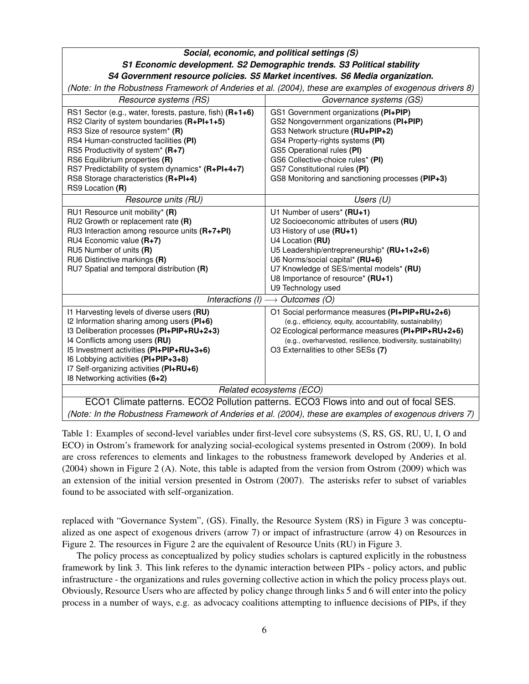## *Social, economic, and political settings (S) S1 Economic development. S2 Demographic trends. S3 Political stability S4 Government resource policies. S5 Market incentives. S6 Media organization.*

*(Note: In the Robustness Framework of Anderies et al. (2004), these are examples of exogenous drivers 8)*

| Resource systems (RS)                                                                                                                                                                                                                                                                                                                                                        | Governance systems (GS)                                                                                                                                                                                                                                                                                           |
|------------------------------------------------------------------------------------------------------------------------------------------------------------------------------------------------------------------------------------------------------------------------------------------------------------------------------------------------------------------------------|-------------------------------------------------------------------------------------------------------------------------------------------------------------------------------------------------------------------------------------------------------------------------------------------------------------------|
| RS1 Sector (e.g., water, forests, pasture, fish) (R+1+6)<br>RS2 Clarity of system boundaries (R+PI+1+5)<br>RS3 Size of resource system* (R)<br>RS4 Human-constructed facilities (PI)<br>RS5 Productivity of system* (R+7)<br>RS6 Equilibrium properties (R)<br>RS7 Predictability of system dynamics* (R+PI+4+7)<br>RS8 Storage characteristics (R+PI+4)<br>RS9 Location (R) | GS1 Government organizations (PI+PIP)<br>GS2 Nongovernment organizations (PI+PIP)<br>GS3 Network structure (RU+PIP+2)<br>GS4 Property-rights systems (PI)<br>GS5 Operational rules (PI)<br>GS6 Collective-choice rules* (PI)<br>GS7 Constitutional rules (PI)<br>GS8 Monitoring and sanctioning processes (PIP+3) |
| Resource units (RU)                                                                                                                                                                                                                                                                                                                                                          | Users $(U)$                                                                                                                                                                                                                                                                                                       |
| RU1 Resource unit mobility* (R)<br>$RU2$ Growth or replacement rate $(R)$<br>RU3 Interaction among resource units (R+7+PI)<br>RU4 Economic value (R+7)<br>RU5 Number of units (R)<br>RU6 Distinctive markings (R)<br>RU7 Spatial and temporal distribution (R)                                                                                                               | U1 Number of users* (RU+1)<br>U2 Socioeconomic attributes of users (RU)<br>U3 History of use (RU+1)<br>U4 Location (RU)<br>U5 Leadership/entrepreneurship* (RU+1+2+6)<br>U6 Norms/social capital* (RU+6)<br>U7 Knowledge of SES/mental models* (RU)<br>U8 Importance of resource* (RU+1)<br>U9 Technology used    |
| Interactions (I) $\longrightarrow$ Outcomes (O)                                                                                                                                                                                                                                                                                                                              |                                                                                                                                                                                                                                                                                                                   |
| I1 Harvesting levels of diverse users (RU)<br>I2 Information sharing among users (PI+6)<br>I3 Deliberation processes (PI+PIP+RU+2+3)<br>14 Conflicts among users (RU)<br>15 Investment activities (PI+PIP+RU+3+6)<br>I6 Lobbying activities (PI+PIP+3+8)<br>I7 Self-organizing activities (PI+RU+6)<br>18 Networking activities (6+2)                                        | O1 Social performance measures (PI+PIP+RU+2+6)<br>(e.g., efficiency, equity, accountability, sustainability)<br>O2 Ecological performance measures (PI+PIP+RU+2+6)<br>(e.g., overharvested, resilience, biodiversity, sustainability)<br>O3 Externalities to other SESs (7)                                       |
| Related ecosystems (ECO)                                                                                                                                                                                                                                                                                                                                                     |                                                                                                                                                                                                                                                                                                                   |
| ECO1 Climate patterns. ECO2 Pollution patterns. ECO3 Flows into and out of focal SES.                                                                                                                                                                                                                                                                                        |                                                                                                                                                                                                                                                                                                                   |
| (Note: In the Robustness Framework of Anderies et al. (2004), these are examples of exogenous drivers 7)                                                                                                                                                                                                                                                                     |                                                                                                                                                                                                                                                                                                                   |

Table 1: Examples of second-level variables under first-level core subsystems (S, RS, GS, RU, U, I, O and ECO) in Ostrom's framework for analyzing social-ecological systems presented in Ostrom (2009). In bold are cross references to elements and linkages to the robustness framework developed by Anderies et al. (2004) shown in Figure 2 (A). Note, this table is adapted from the version from Ostrom (2009) which was an extension of the initial version presented in Ostrom (2007). The asterisks refer to subset of variables found to be associated with self-organization.

replaced with "Governance System", (GS). Finally, the Resource System (RS) in Figure 3 was conceptualized as one aspect of exogenous drivers (arrow 7) or impact of infrastructure (arrow 4) on Resources in Figure 2. The resources in Figure 2 are the equivalent of Resource Units (RU) in Figure 3.

The policy process as conceptualized by policy studies scholars is captured explicitly in the robustness framework by link 3. This link referes to the dynamic interaction between PIPs - policy actors, and public infrastructure - the organizations and rules governing collective action in which the policy process plays out. Obviously, Resource Users who are affected by policy change through links 5 and 6 will enter into the policy process in a number of ways, e.g. as advocacy coalitions attempting to influence decisions of PIPs, if they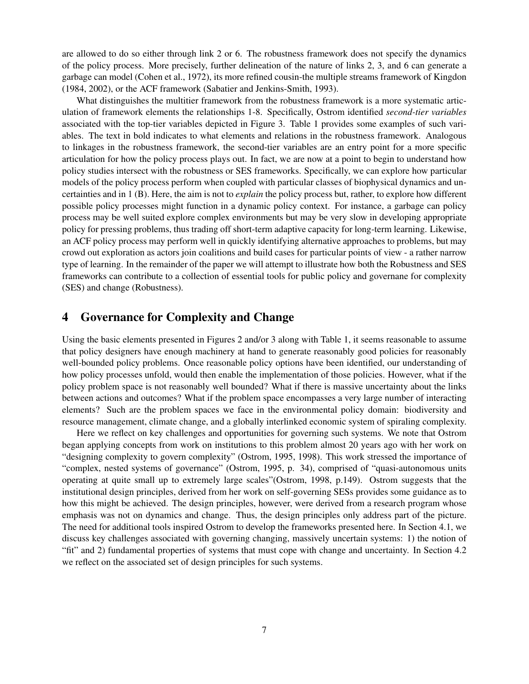are allowed to do so either through link 2 or 6. The robustness framework does not specify the dynamics of the policy process. More precisely, further delineation of the nature of links 2, 3, and 6 can generate a garbage can model (Cohen et al., 1972), its more refined cousin-the multiple streams framework of Kingdon (1984, 2002), or the ACF framework (Sabatier and Jenkins-Smith, 1993).

What distinguishes the multitier framework from the robustness framework is a more systematic articulation of framework elements the relationships 1-8. Specifically, Ostrom identified *second-tier variables* associated with the top-tier variables depicted in Figure 3. Table 1 provides some examples of such variables. The text in bold indicates to what elements and relations in the robustness framework. Analogous to linkages in the robustness framework, the second-tier variables are an entry point for a more specific articulation for how the policy process plays out. In fact, we are now at a point to begin to understand how policy studies intersect with the robustness or SES frameworks. Specifically, we can explore how particular models of the policy process perform when coupled with particular classes of biophysical dynamics and uncertainties and in 1 (B). Here, the aim is not to *explain* the policy process but, rather, to explore how different possible policy processes might function in a dynamic policy context. For instance, a garbage can policy process may be well suited explore complex environments but may be very slow in developing appropriate policy for pressing problems, thus trading off short-term adaptive capacity for long-term learning. Likewise, an ACF policy process may perform well in quickly identifying alternative approaches to problems, but may crowd out exploration as actors join coalitions and build cases for particular points of view - a rather narrow type of learning. In the remainder of the paper we will attempt to illustrate how both the Robustness and SES frameworks can contribute to a collection of essential tools for public policy and governane for complexity (SES) and change (Robustness).

## 4 Governance for Complexity and Change

Using the basic elements presented in Figures 2 and/or 3 along with Table 1, it seems reasonable to assume that policy designers have enough machinery at hand to generate reasonably good policies for reasonably well-bounded policy problems. Once reasonable policy options have been identified, our understanding of how policy processes unfold, would then enable the implementation of those policies. However, what if the policy problem space is not reasonably well bounded? What if there is massive uncertainty about the links between actions and outcomes? What if the problem space encompasses a very large number of interacting elements? Such are the problem spaces we face in the environmental policy domain: biodiversity and resource management, climate change, and a globally interlinked economic system of spiraling complexity.

Here we reflect on key challenges and opportunities for governing such systems. We note that Ostrom began applying concepts from work on institutions to this problem almost 20 years ago with her work on "designing complexity to govern complexity" (Ostrom, 1995, 1998). This work stressed the importance of "complex, nested systems of governance" (Ostrom, 1995, p. 34), comprised of "quasi-autonomous units operating at quite small up to extremely large scales"(Ostrom, 1998, p.149). Ostrom suggests that the institutional design principles, derived from her work on self-governing SESs provides some guidance as to how this might be achieved. The design principles, however, were derived from a research program whose emphasis was not on dynamics and change. Thus, the design principles only address part of the picture. The need for additional tools inspired Ostrom to develop the frameworks presented here. In Section 4.1, we discuss key challenges associated with governing changing, massively uncertain systems: 1) the notion of "fit" and 2) fundamental properties of systems that must cope with change and uncertainty. In Section 4.2 we reflect on the associated set of design principles for such systems.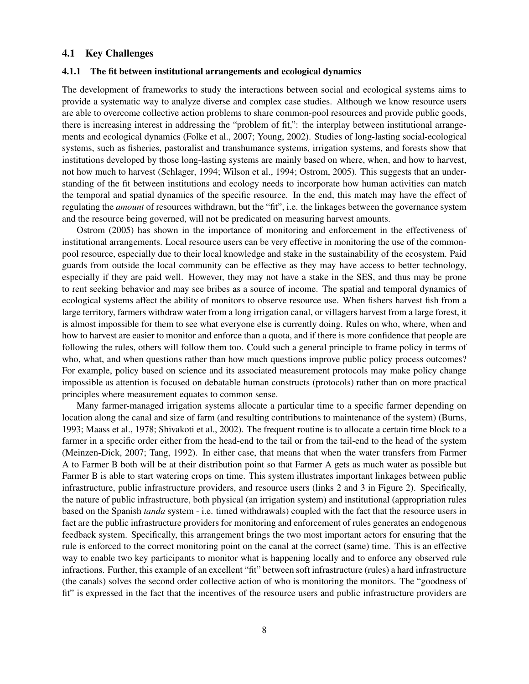#### 4.1 Key Challenges

#### 4.1.1 The fit between institutional arrangements and ecological dynamics

The development of frameworks to study the interactions between social and ecological systems aims to provide a systematic way to analyze diverse and complex case studies. Although we know resource users are able to overcome collective action problems to share common-pool resources and provide public goods, there is increasing interest in addressing the "problem of fit,": the interplay between institutional arrangements and ecological dynamics (Folke et al., 2007; Young, 2002). Studies of long-lasting social-ecological systems, such as fisheries, pastoralist and transhumance systems, irrigation systems, and forests show that institutions developed by those long-lasting systems are mainly based on where, when, and how to harvest, not how much to harvest (Schlager, 1994; Wilson et al., 1994; Ostrom, 2005). This suggests that an understanding of the fit between institutions and ecology needs to incorporate how human activities can match the temporal and spatial dynamics of the specific resource. In the end, this match may have the effect of regulating the *amount* of resources withdrawn, but the "fit", i.e. the linkages between the governance system and the resource being governed, will not be predicated on measuring harvest amounts.

Ostrom (2005) has shown in the importance of monitoring and enforcement in the effectiveness of institutional arrangements. Local resource users can be very effective in monitoring the use of the commonpool resource, especially due to their local knowledge and stake in the sustainability of the ecosystem. Paid guards from outside the local community can be effective as they may have access to better technology, especially if they are paid well. However, they may not have a stake in the SES, and thus may be prone to rent seeking behavior and may see bribes as a source of income. The spatial and temporal dynamics of ecological systems affect the ability of monitors to observe resource use. When fishers harvest fish from a large territory, farmers withdraw water from a long irrigation canal, or villagers harvest from a large forest, it is almost impossible for them to see what everyone else is currently doing. Rules on who, where, when and how to harvest are easier to monitor and enforce than a quota, and if there is more confidence that people are following the rules, others will follow them too. Could such a general principle to frame policy in terms of who, what, and when questions rather than how much questions improve public policy process outcomes? For example, policy based on science and its associated measurement protocols may make policy change impossible as attention is focused on debatable human constructs (protocols) rather than on more practical principles where measurement equates to common sense.

Many farmer-managed irrigation systems allocate a particular time to a specific farmer depending on location along the canal and size of farm (and resulting contributions to maintenance of the system) (Burns, 1993; Maass et al., 1978; Shivakoti et al., 2002). The frequent routine is to allocate a certain time block to a farmer in a specific order either from the head-end to the tail or from the tail-end to the head of the system (Meinzen-Dick, 2007; Tang, 1992). In either case, that means that when the water transfers from Farmer A to Farmer B both will be at their distribution point so that Farmer A gets as much water as possible but Farmer B is able to start watering crops on time. This system illustrates important linkages between public infrastructure, public infrastructure providers, and resource users (links 2 and 3 in Figure 2). Specifically, the nature of public infrastructure, both physical (an irrigation system) and institutional (appropriation rules based on the Spanish *tanda* system - i.e. timed withdrawals) coupled with the fact that the resource users in fact are the public infrastructure providers for monitoring and enforcement of rules generates an endogenous feedback system. Specifically, this arrangement brings the two most important actors for ensuring that the rule is enforced to the correct monitoring point on the canal at the correct (same) time. This is an effective way to enable two key participants to monitor what is happening locally and to enforce any observed rule infractions. Further, this example of an excellent "fit" between soft infrastructure (rules) a hard infrastructure (the canals) solves the second order collective action of who is monitoring the monitors. The "goodness of fit" is expressed in the fact that the incentives of the resource users and public infrastructure providers are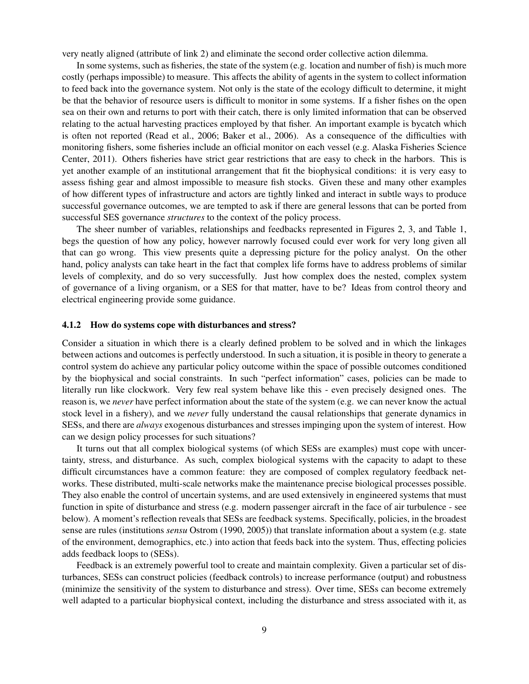very neatly aligned (attribute of link 2) and eliminate the second order collective action dilemma.

In some systems, such as fisheries, the state of the system (e.g. location and number of fish) is much more costly (perhaps impossible) to measure. This affects the ability of agents in the system to collect information to feed back into the governance system. Not only is the state of the ecology difficult to determine, it might be that the behavior of resource users is difficult to monitor in some systems. If a fisher fishes on the open sea on their own and returns to port with their catch, there is only limited information that can be observed relating to the actual harvesting practices employed by that fisher. An important example is bycatch which is often not reported (Read et al., 2006; Baker et al., 2006). As a consequence of the difficulties with monitoring fishers, some fisheries include an official monitor on each vessel (e.g. Alaska Fisheries Science Center, 2011). Others fisheries have strict gear restrictions that are easy to check in the harbors. This is yet another example of an institutional arrangement that fit the biophysical conditions: it is very easy to assess fishing gear and almost impossible to measure fish stocks. Given these and many other examples of how different types of infrastructure and actors are tightly linked and interact in subtle ways to produce successful governance outcomes, we are tempted to ask if there are general lessons that can be ported from successful SES governance *structures* to the context of the policy process.

The sheer number of variables, relationships and feedbacks represented in Figures 2, 3, and Table 1, begs the question of how any policy, however narrowly focused could ever work for very long given all that can go wrong. This view presents quite a depressing picture for the policy analyst. On the other hand, policy analysts can take heart in the fact that complex life forms have to address problems of similar levels of complexity, and do so very successfully. Just how complex does the nested, complex system of governance of a living organism, or a SES for that matter, have to be? Ideas from control theory and electrical engineering provide some guidance.

#### 4.1.2 How do systems cope with disturbances and stress?

Consider a situation in which there is a clearly defined problem to be solved and in which the linkages between actions and outcomes is perfectly understood. In such a situation, it is posible in theory to generate a control system do achieve any particular policy outcome within the space of possible outcomes conditioned by the biophysical and social constraints. In such "perfect information" cases, policies can be made to literally run like clockwork. Very few real system behave like this - even precisely designed ones. The reason is, we *never* have perfect information about the state of the system (e.g. we can never know the actual stock level in a fishery), and we *never* fully understand the causal relationships that generate dynamics in SESs, and there are *always* exogenous disturbances and stresses impinging upon the system of interest. How can we design policy processes for such situations?

It turns out that all complex biological systems (of which SESs are examples) must cope with uncertainty, stress, and disturbance. As such, complex biological systems with the capacity to adapt to these difficult circumstances have a common feature: they are composed of complex regulatory feedback networks. These distributed, multi-scale networks make the maintenance precise biological processes possible. They also enable the control of uncertain systems, and are used extensively in engineered systems that must function in spite of disturbance and stress (e.g. modern passenger aircraft in the face of air turbulence - see below). A moment's reflection reveals that SESs are feedback systems. Specifically, policies, in the broadest sense are rules (institutions *sensu* Ostrom (1990, 2005)) that translate information about a system (e.g. state of the environment, demographics, etc.) into action that feeds back into the system. Thus, effecting policies adds feedback loops to (SESs).

Feedback is an extremely powerful tool to create and maintain complexity. Given a particular set of disturbances, SESs can construct policies (feedback controls) to increase performance (output) and robustness (minimize the sensitivity of the system to disturbance and stress). Over time, SESs can become extremely well adapted to a particular biophysical context, including the disturbance and stress associated with it, as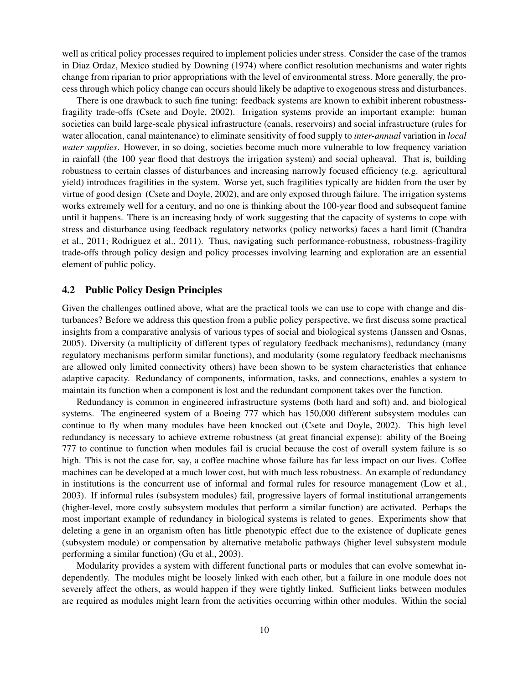well as critical policy processes required to implement policies under stress. Consider the case of the tramos in Diaz Ordaz, Mexico studied by Downing (1974) where conflict resolution mechanisms and water rights change from riparian to prior appropriations with the level of environmental stress. More generally, the process through which policy change can occurs should likely be adaptive to exogenous stress and disturbances.

There is one drawback to such fine tuning: feedback systems are known to exhibit inherent robustnessfragility trade-offs (Csete and Doyle, 2002). Irrigation systems provide an important example: human societies can build large-scale physical infrastructure (canals, reservoirs) and social infrastructure (rules for water allocation, canal maintenance) to eliminate sensitivity of food supply to *inter-annual* variation in *local water supplies*. However, in so doing, societies become much more vulnerable to low frequency variation in rainfall (the 100 year flood that destroys the irrigation system) and social upheaval. That is, building robustness to certain classes of disturbances and increasing narrowly focused efficiency (e.g. agricultural yield) introduces fragilities in the system. Worse yet, such fragilities typically are hidden from the user by virtue of good design (Csete and Doyle, 2002), and are only exposed through failure. The irrigation systems works extremely well for a century, and no one is thinking about the 100-year flood and subsequent famine until it happens. There is an increasing body of work suggesting that the capacity of systems to cope with stress and disturbance using feedback regulatory networks (policy networks) faces a hard limit (Chandra et al., 2011; Rodriguez et al., 2011). Thus, navigating such performance-robustness, robustness-fragility trade-offs through policy design and policy processes involving learning and exploration are an essential element of public policy.

#### 4.2 Public Policy Design Principles

Given the challenges outlined above, what are the practical tools we can use to cope with change and disturbances? Before we address this question from a public policy perspective, we first discuss some practical insights from a comparative analysis of various types of social and biological systems (Janssen and Osnas, 2005). Diversity (a multiplicity of different types of regulatory feedback mechanisms), redundancy (many regulatory mechanisms perform similar functions), and modularity (some regulatory feedback mechanisms are allowed only limited connectivity others) have been shown to be system characteristics that enhance adaptive capacity. Redundancy of components, information, tasks, and connections, enables a system to maintain its function when a component is lost and the redundant component takes over the function.

Redundancy is common in engineered infrastructure systems (both hard and soft) and, and biological systems. The engineered system of a Boeing 777 which has 150,000 different subsystem modules can continue to fly when many modules have been knocked out (Csete and Doyle, 2002). This high level redundancy is necessary to achieve extreme robustness (at great financial expense): ability of the Boeing 777 to continue to function when modules fail is crucial because the cost of overall system failure is so high. This is not the case for, say, a coffee machine whose failure has far less impact on our lives. Coffee machines can be developed at a much lower cost, but with much less robustness. An example of redundancy in institutions is the concurrent use of informal and formal rules for resource management (Low et al., 2003). If informal rules (subsystem modules) fail, progressive layers of formal institutional arrangements (higher-level, more costly subsystem modules that perform a similar function) are activated. Perhaps the most important example of redundancy in biological systems is related to genes. Experiments show that deleting a gene in an organism often has little phenotypic effect due to the existence of duplicate genes (subsystem module) or compensation by alternative metabolic pathways (higher level subsystem module performing a similar function) (Gu et al., 2003).

Modularity provides a system with different functional parts or modules that can evolve somewhat independently. The modules might be loosely linked with each other, but a failure in one module does not severely affect the others, as would happen if they were tightly linked. Sufficient links between modules are required as modules might learn from the activities occurring within other modules. Within the social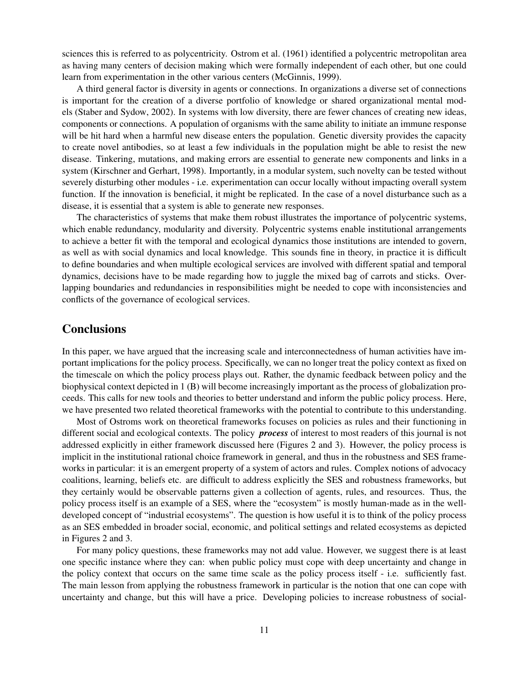sciences this is referred to as polycentricity. Ostrom et al. (1961) identified a polycentric metropolitan area as having many centers of decision making which were formally independent of each other, but one could learn from experimentation in the other various centers (McGinnis, 1999).

A third general factor is diversity in agents or connections. In organizations a diverse set of connections is important for the creation of a diverse portfolio of knowledge or shared organizational mental models (Staber and Sydow, 2002). In systems with low diversity, there are fewer chances of creating new ideas, components or connections. A population of organisms with the same ability to initiate an immune response will be hit hard when a harmful new disease enters the population. Genetic diversity provides the capacity to create novel antibodies, so at least a few individuals in the population might be able to resist the new disease. Tinkering, mutations, and making errors are essential to generate new components and links in a system (Kirschner and Gerhart, 1998). Importantly, in a modular system, such novelty can be tested without severely disturbing other modules - i.e. experimentation can occur locally without impacting overall system function. If the innovation is beneficial, it might be replicated. In the case of a novel disturbance such as a disease, it is essential that a system is able to generate new responses.

The characteristics of systems that make them robust illustrates the importance of polycentric systems, which enable redundancy, modularity and diversity. Polycentric systems enable institutional arrangements to achieve a better fit with the temporal and ecological dynamics those institutions are intended to govern, as well as with social dynamics and local knowledge. This sounds fine in theory, in practice it is difficult to define boundaries and when multiple ecological services are involved with different spatial and temporal dynamics, decisions have to be made regarding how to juggle the mixed bag of carrots and sticks. Overlapping boundaries and redundancies in responsibilities might be needed to cope with inconsistencies and conflicts of the governance of ecological services.

#### **Conclusions**

In this paper, we have argued that the increasing scale and interconnectedness of human activities have important implications for the policy process. Specifically, we can no longer treat the policy context as fixed on the timescale on which the policy process plays out. Rather, the dynamic feedback between policy and the biophysical context depicted in 1 (B) will become increasingly important as the process of globalization proceeds. This calls for new tools and theories to better understand and inform the public policy process. Here, we have presented two related theoretical frameworks with the potential to contribute to this understanding.

Most of Ostroms work on theoretical frameworks focuses on policies as rules and their functioning in different social and ecological contexts. The policy *process* of interest to most readers of this journal is not addressed explicitly in either framework discussed here (Figures 2 and 3). However, the policy process is implicit in the institutional rational choice framework in general, and thus in the robustness and SES frameworks in particular: it is an emergent property of a system of actors and rules. Complex notions of advocacy coalitions, learning, beliefs etc. are difficult to address explicitly the SES and robustness frameworks, but they certainly would be observable patterns given a collection of agents, rules, and resources. Thus, the policy process itself is an example of a SES, where the "ecosystem" is mostly human-made as in the welldeveloped concept of "industrial ecosystems". The question is how useful it is to think of the policy process as an SES embedded in broader social, economic, and political settings and related ecosystems as depicted in Figures 2 and 3.

For many policy questions, these frameworks may not add value. However, we suggest there is at least one specific instance where they can: when public policy must cope with deep uncertainty and change in the policy context that occurs on the same time scale as the policy process itself - i.e. sufficiently fast. The main lesson from applying the robustness framework in particular is the notion that one can cope with uncertainty and change, but this will have a price. Developing policies to increase robustness of social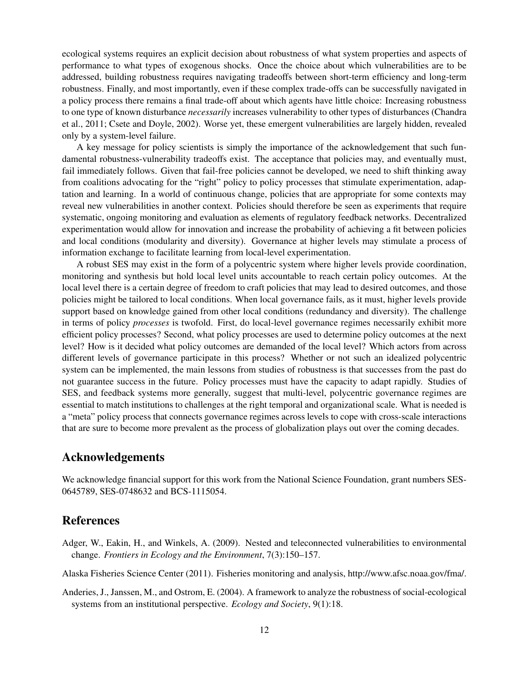ecological systems requires an explicit decision about robustness of what system properties and aspects of performance to what types of exogenous shocks. Once the choice about which vulnerabilities are to be addressed, building robustness requires navigating tradeoffs between short-term efficiency and long-term robustness. Finally, and most importantly, even if these complex trade-offs can be successfully navigated in a policy process there remains a final trade-off about which agents have little choice: Increasing robustness to one type of known disturbance *necessarily* increases vulnerability to other types of disturbances (Chandra et al., 2011; Csete and Doyle, 2002). Worse yet, these emergent vulnerabilities are largely hidden, revealed only by a system-level failure.

A key message for policy scientists is simply the importance of the acknowledgement that such fundamental robustness-vulnerability tradeoffs exist. The acceptance that policies may, and eventually must, fail immediately follows. Given that fail-free policies cannot be developed, we need to shift thinking away from coalitions advocating for the "right" policy to policy processes that stimulate experimentation, adaptation and learning. In a world of continuous change, policies that are appropriate for some contexts may reveal new vulnerabilities in another context. Policies should therefore be seen as experiments that require systematic, ongoing monitoring and evaluation as elements of regulatory feedback networks. Decentralized experimentation would allow for innovation and increase the probability of achieving a fit between policies and local conditions (modularity and diversity). Governance at higher levels may stimulate a process of information exchange to facilitate learning from local-level experimentation.

A robust SES may exist in the form of a polycentric system where higher levels provide coordination, monitoring and synthesis but hold local level units accountable to reach certain policy outcomes. At the local level there is a certain degree of freedom to craft policies that may lead to desired outcomes, and those policies might be tailored to local conditions. When local governance fails, as it must, higher levels provide support based on knowledge gained from other local conditions (redundancy and diversity). The challenge in terms of policy *processes* is twofold. First, do local-level governance regimes necessarily exhibit more efficient policy processes? Second, what policy processes are used to determine policy outcomes at the next level? How is it decided what policy outcomes are demanded of the local level? Which actors from across different levels of governance participate in this process? Whether or not such an idealized polycentric system can be implemented, the main lessons from studies of robustness is that successes from the past do not guarantee success in the future. Policy processes must have the capacity to adapt rapidly. Studies of SES, and feedback systems more generally, suggest that multi-level, polycentric governance regimes are essential to match institutions to challenges at the right temporal and organizational scale. What is needed is a "meta" policy process that connects governance regimes across levels to cope with cross-scale interactions that are sure to become more prevalent as the process of globalization plays out over the coming decades.

#### Acknowledgements

We acknowledge financial support for this work from the National Science Foundation, grant numbers SES-0645789, SES-0748632 and BCS-1115054.

#### References

- Adger, W., Eakin, H., and Winkels, A. (2009). Nested and teleconnected vulnerabilities to environmental change. *Frontiers in Ecology and the Environment*, 7(3):150–157.
- Alaska Fisheries Science Center (2011). Fisheries monitoring and analysis, http://www.afsc.noaa.gov/fma/.
- Anderies, J., Janssen, M., and Ostrom, E. (2004). A framework to analyze the robustness of social-ecological systems from an institutional perspective. *Ecology and Society*, 9(1):18.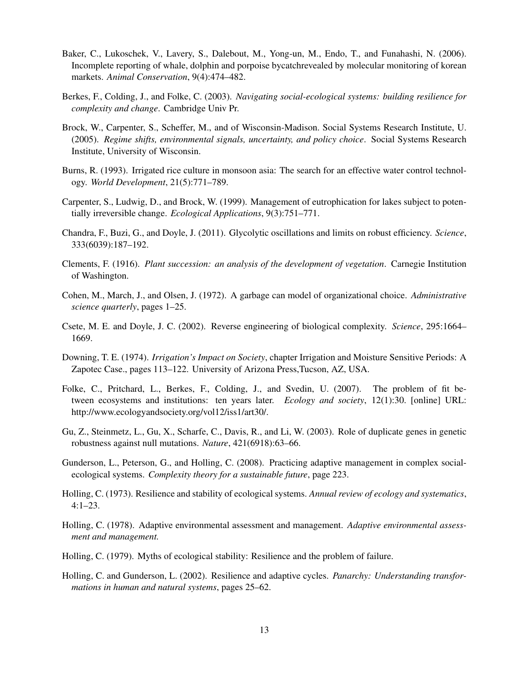- Baker, C., Lukoschek, V., Lavery, S., Dalebout, M., Yong-un, M., Endo, T., and Funahashi, N. (2006). Incomplete reporting of whale, dolphin and porpoise bycatchrevealed by molecular monitoring of korean markets. *Animal Conservation*, 9(4):474–482.
- Berkes, F., Colding, J., and Folke, C. (2003). *Navigating social-ecological systems: building resilience for complexity and change*. Cambridge Univ Pr.
- Brock, W., Carpenter, S., Scheffer, M., and of Wisconsin-Madison. Social Systems Research Institute, U. (2005). *Regime shifts, environmental signals, uncertainty, and policy choice*. Social Systems Research Institute, University of Wisconsin.
- Burns, R. (1993). Irrigated rice culture in monsoon asia: The search for an effective water control technology. *World Development*, 21(5):771–789.
- Carpenter, S., Ludwig, D., and Brock, W. (1999). Management of eutrophication for lakes subject to potentially irreversible change. *Ecological Applications*, 9(3):751–771.
- Chandra, F., Buzi, G., and Doyle, J. (2011). Glycolytic oscillations and limits on robust efficiency. *Science*, 333(6039):187–192.
- Clements, F. (1916). *Plant succession: an analysis of the development of vegetation*. Carnegie Institution of Washington.
- Cohen, M., March, J., and Olsen, J. (1972). A garbage can model of organizational choice. *Administrative science quarterly*, pages 1–25.
- Csete, M. E. and Doyle, J. C. (2002). Reverse engineering of biological complexity. *Science*, 295:1664– 1669.
- Downing, T. E. (1974). *Irrigation's Impact on Society*, chapter Irrigation and Moisture Sensitive Periods: A Zapotec Case., pages 113–122. University of Arizona Press,Tucson, AZ, USA.
- Folke, C., Pritchard, L., Berkes, F., Colding, J., and Svedin, U. (2007). The problem of fit between ecosystems and institutions: ten years later. *Ecology and society*, 12(1):30. [online] URL: http://www.ecologyandsociety.org/vol12/iss1/art30/.
- Gu, Z., Steinmetz, L., Gu, X., Scharfe, C., Davis, R., and Li, W. (2003). Role of duplicate genes in genetic robustness against null mutations. *Nature*, 421(6918):63–66.
- Gunderson, L., Peterson, G., and Holling, C. (2008). Practicing adaptive management in complex socialecological systems. *Complexity theory for a sustainable future*, page 223.
- Holling, C. (1973). Resilience and stability of ecological systems. *Annual review of ecology and systematics*, 4:1–23.
- Holling, C. (1978). Adaptive environmental assessment and management. *Adaptive environmental assessment and management.*
- Holling, C. (1979). Myths of ecological stability: Resilience and the problem of failure.
- Holling, C. and Gunderson, L. (2002). Resilience and adaptive cycles. *Panarchy: Understanding transformations in human and natural systems*, pages 25–62.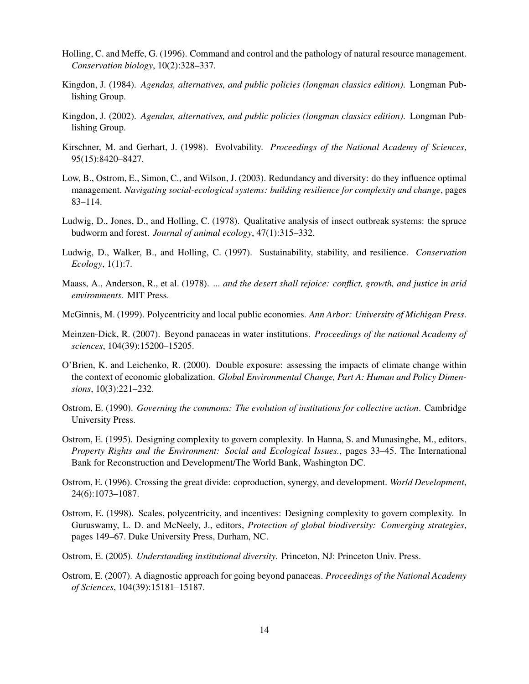- Holling, C. and Meffe, G. (1996). Command and control and the pathology of natural resource management. *Conservation biology*, 10(2):328–337.
- Kingdon, J. (1984). *Agendas, alternatives, and public policies (longman classics edition)*. Longman Publishing Group.
- Kingdon, J. (2002). *Agendas, alternatives, and public policies (longman classics edition)*. Longman Publishing Group.
- Kirschner, M. and Gerhart, J. (1998). Evolvability. *Proceedings of the National Academy of Sciences*, 95(15):8420–8427.
- Low, B., Ostrom, E., Simon, C., and Wilson, J. (2003). Redundancy and diversity: do they influence optimal management. *Navigating social-ecological systems: building resilience for complexity and change*, pages 83–114.
- Ludwig, D., Jones, D., and Holling, C. (1978). Qualitative analysis of insect outbreak systems: the spruce budworm and forest. *Journal of animal ecology*, 47(1):315–332.
- Ludwig, D., Walker, B., and Holling, C. (1997). Sustainability, stability, and resilience. *Conservation Ecology*, 1(1):7.
- Maass, A., Anderson, R., et al. (1978). *... and the desert shall rejoice: conflict, growth, and justice in arid environments.* MIT Press.
- McGinnis, M. (1999). Polycentricity and local public economies. *Ann Arbor: University of Michigan Press*.
- Meinzen-Dick, R. (2007). Beyond panaceas in water institutions. *Proceedings of the national Academy of sciences*, 104(39):15200–15205.
- O'Brien, K. and Leichenko, R. (2000). Double exposure: assessing the impacts of climate change within the context of economic globalization. *Global Environmental Change, Part A: Human and Policy Dimensions*, 10(3):221–232.
- Ostrom, E. (1990). *Governing the commons: The evolution of institutions for collective action*. Cambridge University Press.
- Ostrom, E. (1995). Designing complexity to govern complexity. In Hanna, S. and Munasinghe, M., editors, *Property Rights and the Environment: Social and Ecological Issues.*, pages 33–45. The International Bank for Reconstruction and Development/The World Bank, Washington DC.
- Ostrom, E. (1996). Crossing the great divide: coproduction, synergy, and development. *World Development*, 24(6):1073–1087.
- Ostrom, E. (1998). Scales, polycentricity, and incentives: Designing complexity to govern complexity. In Guruswamy, L. D. and McNeely, J., editors, *Protection of global biodiversity: Converging strategies*, pages 149–67. Duke University Press, Durham, NC.
- Ostrom, E. (2005). *Understanding institutional diversity*. Princeton, NJ: Princeton Univ. Press.
- Ostrom, E. (2007). A diagnostic approach for going beyond panaceas. *Proceedings of the National Academy of Sciences*, 104(39):15181–15187.